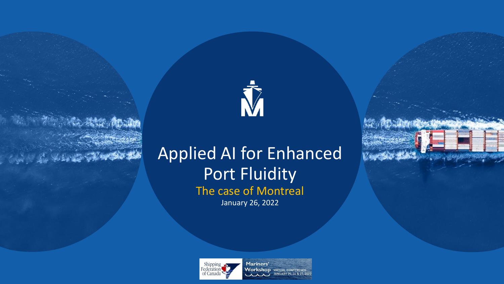

## Applied AI for Enhanced Port Fluidity The case of Montreal January 26, 2022



Mariners' **Workshop VIRTUAL CONFERENCE** JANUARY 25, 26 & 27, 202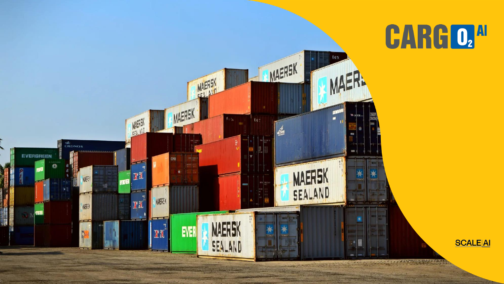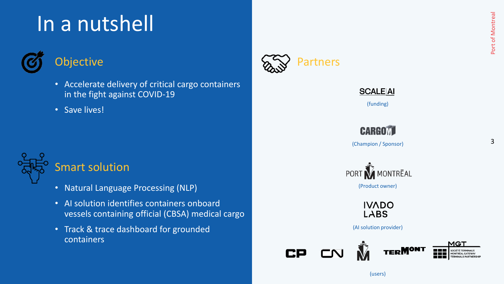# In a nutshell



## **Objective**

- Accelerate delivery of critical cargo containers in the fight against COVID-19
- Save lives!



### Smart solution

- Natural Language Processing (NLP)
- AI solution identifies containers onboard vessels containing official (CBSA) medical cargo
- Track & trace dashboard for grounded containers







(funding)

**CARGOM** 

(Champion / Sponsor)





(AI solution provider)



3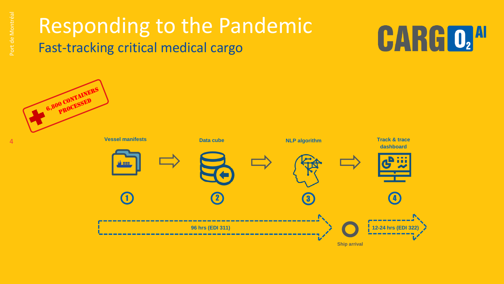## Responding to the Pandemic Fast-tracking critical medical cargo

# **CARGO, AU**

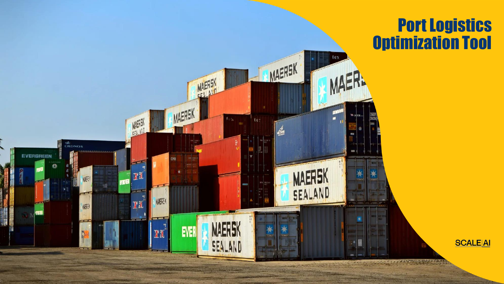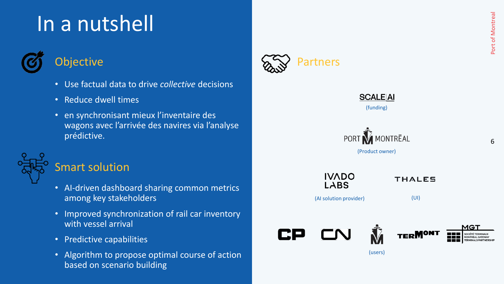# In a nutshell



## **Objective**

- Use factual data to drive *collective* decisions
- Reduce dwell times
- en synchronisant mieux l'inventaire des wagons avec l'arrivée des navires via l'analyse prédictive.



### Smart solution

- AI-driven dashboard sharing common metrics among key stakeholders
- Improved synchronization of rail car inventory with vessel arrival
- Predictive capabilities
- Algorithm to propose optimal course of action based on scenario building





6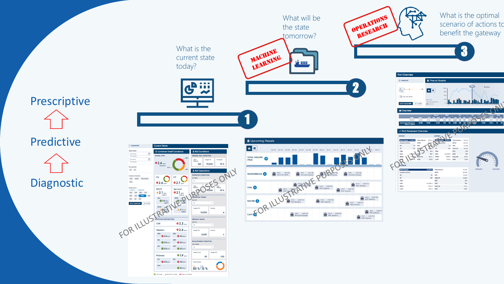